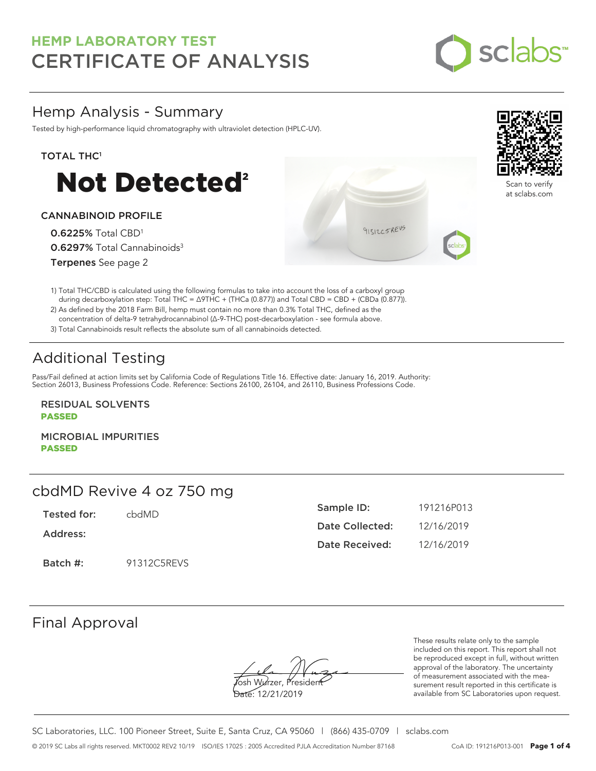

## Hemp Analysis - Summary

Tested by high-performance liquid chromatography with ultraviolet detection (HPLC-UV).

### TOTAL THC<sup>1</sup>



### CANNABINOID PROFILE

0.6225% Total CBD<sup>1</sup> 0.6297% Total Cannabinoids<sup>3</sup> Terpenes See page 2

1) Total THC/CBD is calculated using the following formulas to take into account the loss of a carboxyl group during decarboxylation step: Total THC = ∆9THC + (THCa (0.877)) and Total CBD = CBD + (CBDa (0.877)).

2) As defined by the 2018 Farm Bill, hemp must contain no more than 0.3% Total THC, defined as the concentration of delta-9 tetrahydrocannabinol (Δ-9-THC) post-decarboxylation - see formula above.

3) Total Cannabinoids result reflects the absolute sum of all cannabinoids detected.

# Additional Testing

Pass/Fail defined at action limits set by California Code of Regulations Title 16. Effective date: January 16, 2019. Authority: Section 26013, Business Professions Code. Reference: Sections 26100, 26104, and 26110, Business Professions Code.

RESIDUAL SOLVENTS PASSED

MICROBIAL IMPURITIES PASSED

## cbdMD Revive 4 oz 750 mg

Tested for: cbdMD

Address:

Batch #: 91312C5REVS

| Sample ID:            | 191216P013 |
|-----------------------|------------|
| Date Collected:       | 12/16/2019 |
| <b>Date Received:</b> | 12/16/2019 |

91312C5REVS

## Final Approval

osh Wurzer, Presider

Date: 12/21/2019

These results relate only to the sample included on this report. This report shall not be reproduced except in full, without written approval of the laboratory. The uncertainty of measurement associated with the measurement result reported in this certificate is available from SC Laboratories upon request.

SC Laboratories, LLC. 100 Pioneer Street, Suite E, Santa Cruz, CA 95060 | (866) 435-0709 | sclabs.com © 2019 SC Labs all rights reserved. MKT0002 REV2 10/19 ISO/IES 17025 : 2005 Accredited PJLA Accreditation Number 87168 CoA ID: 191216P013-001 **Page 1 of 4**



Scan to verify at sclabs.com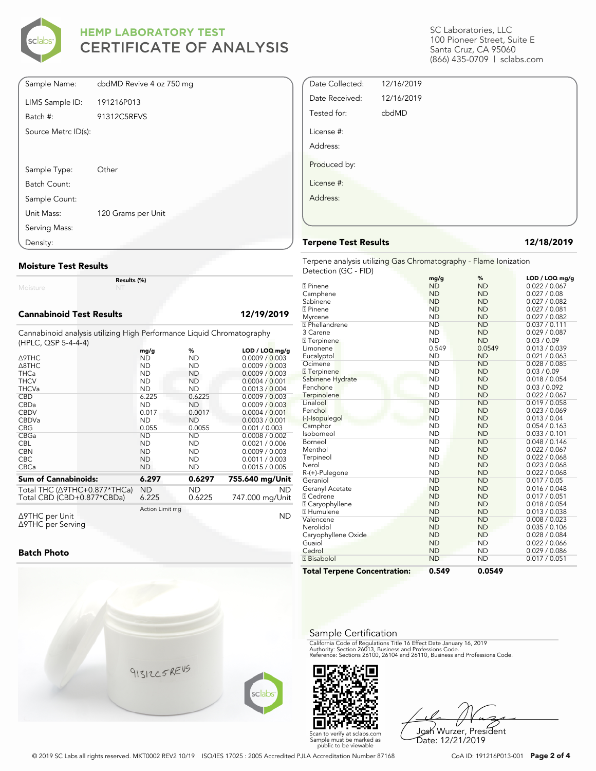

| Sample Name:        | cbdMD Revive 4 oz 750 mg |
|---------------------|--------------------------|
| LIMS Sample ID:     | 191216P013               |
| Batch #:            | 91312C5REVS              |
| Source Metrc ID(s): |                          |
|                     |                          |
|                     |                          |
| Sample Type:        | Other                    |
| Batch Count:        |                          |
| Sample Count:       |                          |
| Unit Mass:          | 120 Grams per Unit       |
| Serving Mass:       |                          |
| Density:            |                          |

### **Moisture Test Results**

Moisture

**Results (%)**

### **Cannabinoid Test Results 12/19/2019**

Cannabinoid analysis utilizing High Performance Liquid Chromatography (HPLC, QSP 5-4-4-4)

|                                                                    | mg/g            | %         | $LOD / LOQ$ mg/g |
|--------------------------------------------------------------------|-----------------|-----------|------------------|
| <b>A9THC</b>                                                       | ND              | <b>ND</b> | 0.0009 / 0.003   |
| $\triangle$ 8THC                                                   | ND              | ND        | 0.0009 / 0.003   |
| <b>THCa</b>                                                        | <b>ND</b>       | ND.       | 0.0009 / 0.003   |
| <b>THCV</b>                                                        | ND              | ND        | 0.0004 / 0.001   |
| <b>THCVa</b>                                                       | <b>ND</b>       | <b>ND</b> | 0.0013 / 0.004   |
| <b>CBD</b>                                                         | 6.225           | 0.6225    | 0.0009 / 0.003   |
| CBDa                                                               | <b>ND</b>       | ND        | 0.0009 / 0.003   |
| <b>CBDV</b>                                                        | 0.017           | 0.0017    | 0.0004 / 0.001   |
| <b>CBDVa</b>                                                       | <b>ND</b>       | <b>ND</b> | 0.0003 / 0.001   |
| <b>CBG</b>                                                         | 0.055           | 0.0055    | 0.001 / 0.003    |
| CBGa                                                               | <b>ND</b>       | <b>ND</b> | 0.0008 / 0.002   |
| <b>CBL</b>                                                         | ND              | ND        | 0.0021 / 0.006   |
| <b>CBN</b>                                                         | <b>ND</b>       | ND        | 0.0009 / 0.003   |
| <b>CBC</b>                                                         | <b>ND</b>       | ND        | 0.0011 / 0.003   |
| <b>CBCa</b>                                                        | <b>ND</b>       | ND        | 0.0015 / 0.005   |
| <b>Sum of Cannabinoids:</b>                                        | 6.297           | 0.6297    | 755.640 mg/Unit  |
|                                                                    | ND              | ND        | ND.              |
| Total THC $(\Delta$ 9THC+0.877*THCa)<br>Total CBD (CBD+0.877*CBDa) | 6.225           | 0.6225    | 747.000 mg/Unit  |
|                                                                    | Action Limit mg |           |                  |
| Δ9THC per Unit                                                     |                 |           | ND               |

Δ9THC per Unit Δ9THC per Serving

### **Batch Photo**



SC Laboratories, LLC 100 Pioneer Street, Suite E Santa Cruz, CA 95060 (866) 435-0709 | sclabs.com

| Date Collected: | 12/16/2019 |  |
|-----------------|------------|--|
| Date Received:  | 12/16/2019 |  |
| Tested for:     | cbdMD      |  |
| License #:      |            |  |
| Address:        |            |  |
| Produced by:    |            |  |
| License #:      |            |  |
| Address:        |            |  |
|                 |            |  |

### **Terpene Test Results 12/18/2019**

Terpene analysis utilizing Gas Chromatography - Flame Ionization Detection (GC - FID)

|                                     | mg/g      | %         | LOD / LOQ mg/g |
|-------------------------------------|-----------|-----------|----------------|
| <b>7</b> Pinene                     | <b>ND</b> | <b>ND</b> | 0.022 / 0.067  |
| Camphene                            | <b>ND</b> | <b>ND</b> | 0.027 / 0.08   |
| Sabinene                            | <b>ND</b> | <b>ND</b> | 0.027 / 0.082  |
| <b>7</b> Pinene                     | <b>ND</b> | <b>ND</b> | 0.027 / 0.081  |
| Myrcene                             | <b>ND</b> | <b>ND</b> | 0.027 / 0.082  |
| <b>7</b> Phellandrene               | <b>ND</b> | <b>ND</b> | 0.037 / 0.111  |
| 3 Carene                            | <b>ND</b> | <b>ND</b> | 0.029 / 0.087  |
| <b>7</b> Terpinene                  | <b>ND</b> | <b>ND</b> | 0.03 / 0.09    |
| Limonene                            | 0.549     | 0.0549    | 0.013 / 0.039  |
| Eucalyptol                          | <b>ND</b> | <b>ND</b> | 0.021 / 0.063  |
| Ocimene                             | <b>ND</b> | <b>ND</b> | 0.028 / 0.085  |
| <b>7</b> Terpinene                  | <b>ND</b> | <b>ND</b> | 0.03 / 0.09    |
| Sabinene Hydrate                    | <b>ND</b> | <b>ND</b> | 0.018 / 0.054  |
| Fenchone                            | <b>ND</b> | <b>ND</b> | 0.03 / 0.092   |
| Terpinolene                         | <b>ND</b> | <b>ND</b> | 0.022 / 0.067  |
| Linalool                            | <b>ND</b> | <b>ND</b> | 0.019 / 0.058  |
| Fenchol                             | <b>ND</b> | <b>ND</b> | 0.023 / 0.069  |
| (-)-Isopulegol                      | <b>ND</b> | <b>ND</b> | 0.013 / 0.04   |
| Camphor                             | <b>ND</b> | <b>ND</b> | 0.054 / 0.163  |
| Isoborneol                          | <b>ND</b> | <b>ND</b> | 0.033 / 0.101  |
| Borneol                             | <b>ND</b> | <b>ND</b> | 0.048 / 0.146  |
| Menthol                             | <b>ND</b> | <b>ND</b> | 0.022 / 0.067  |
| Terpineol                           | <b>ND</b> | <b>ND</b> | 0.022 / 0.068  |
| Nerol                               | <b>ND</b> | <b>ND</b> | 0.023 / 0.068  |
| R-(+)-Pulegone                      | <b>ND</b> | <b>ND</b> | 0.022 / 0.068  |
| Geraniol                            | <b>ND</b> | <b>ND</b> | 0.017 / 0.05   |
| Geranyl Acetate                     | <b>ND</b> | <b>ND</b> | 0.016 / 0.048  |
| <b>7 Cedrene</b>                    | <b>ND</b> | <b>ND</b> | 0.017 / 0.051  |
| <b>2 Caryophyllene</b>              | <b>ND</b> | <b>ND</b> | 0.018 / 0.054  |
| <b>7 Humulene</b>                   | <b>ND</b> | <b>ND</b> | 0.013 / 0.038  |
| Valencene                           | <b>ND</b> | <b>ND</b> | 0.008 / 0.023  |
| Nerolidol                           | <b>ND</b> | <b>ND</b> | 0.035 / 0.106  |
| Caryophyllene Oxide                 | <b>ND</b> | <b>ND</b> | 0.028 / 0.084  |
| Guaiol                              | <b>ND</b> | <b>ND</b> | 0.022 / 0.066  |
| Cedrol                              | <b>ND</b> | <b>ND</b> | 0.029 / 0.086  |
| <b>7</b> Bisabolol                  | <b>ND</b> | <b>ND</b> | 0.017 / 0.051  |
| <b>Total Terpene Concentration:</b> | 0.549     | 0.0549    |                |

### Sample Certification

California Code of Regulations Title 16 Effect Date January 16, 2019<br>Authority: Section 26013, Business and Professions Code.<br>Reference: Sections 26100, 26104 and 26110, Business and Professions Code.



Josh Wurzer, President Date: 12/21/2019

© 2019 SC Labs all rights reserved. MKT0002 REV2 10/19 ISO/IES 17025 : 2005 Accredited PJLA Accreditation Number 87168 CoA ID: 191216P013-001 **Page 2 of 4**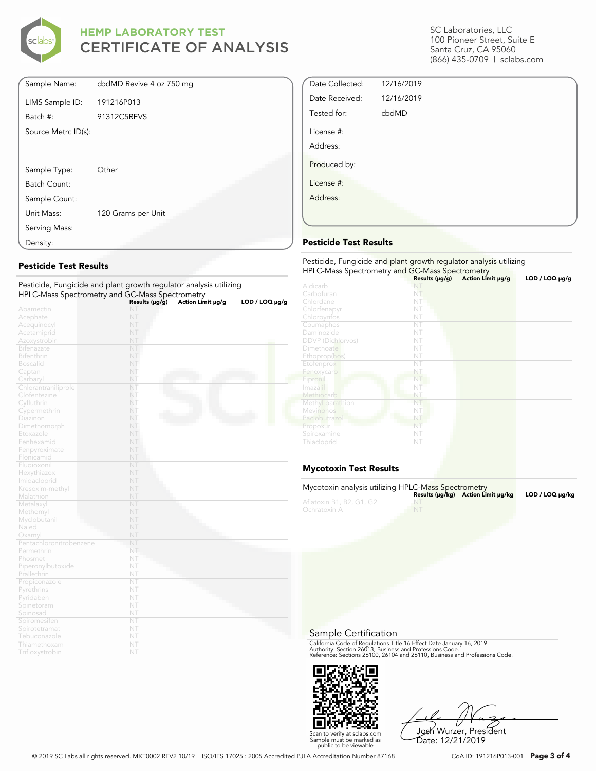

| Sample Name:        | cbdMD Revive 4 oz 750 mg |
|---------------------|--------------------------|
| LIMS Sample ID:     | 191216P013               |
| Batch #:            | 91312C5REVS              |
| Source Metrc ID(s): |                          |
|                     |                          |
|                     |                          |
| Sample Type:        | Other                    |
| Batch Count:        |                          |
| Sample Count:       |                          |
| Unit Mass:          | 120 Grams per Unit       |
| Serving Mass:       |                          |
| Density:            |                          |

### **Pesticide Test Results**

| Pesticide, Fungicide and plant growth regulator analysis utilizing |                |                   |                     |
|--------------------------------------------------------------------|----------------|-------------------|---------------------|
| HPLC-Mass Spectrometry and GC-Mass Spectrometry                    |                |                   |                     |
|                                                                    | Results (µg/g) | Action Limit µg/g | $LOD / LOQ \mu g/g$ |
| Abamectin                                                          | NT             |                   |                     |
| Acephate                                                           | NT             |                   |                     |
| Acequinocyl                                                        | NT             |                   |                     |
| Acetamiprid                                                        | NT             |                   |                     |
| Azoxystrobin                                                       | NT             |                   |                     |
| <b>Bifenazate</b>                                                  | NT             |                   |                     |
| <b>Bifenthrin</b>                                                  | NT             |                   |                     |
| <b>Boscalid</b>                                                    | NT             |                   |                     |
| Captan                                                             | NT             |                   |                     |
| Carbaryl                                                           | NT             |                   |                     |
| Chlorantraniliprole                                                | NT             |                   |                     |
| Clofentezine                                                       | NT             |                   |                     |
| Cyfluthrin                                                         | NT             |                   |                     |
| Cypermethrin                                                       | NT             |                   |                     |
| Diazinon                                                           | NT             |                   |                     |
| Dimethomorph                                                       | NT             |                   |                     |
| Etoxazole                                                          | NT             |                   |                     |
| Fenhexamid                                                         | NT             |                   |                     |
| Fenpyroximate                                                      | NT             |                   |                     |
| Flonicamid                                                         | NT             |                   |                     |
| Fludioxonil                                                        | NT             |                   |                     |
| Hexythiazox                                                        | NT             |                   |                     |
| Imidacloprid                                                       | NT             |                   |                     |
| Kresoxim-methyl                                                    | NT             |                   |                     |
| Malathion                                                          | NT             |                   |                     |
| Metalaxyl                                                          | NT             |                   |                     |
| Methomyl                                                           | NT             |                   |                     |
| Myclobutanil                                                       | NT             |                   |                     |
| Naled                                                              | NT             |                   |                     |
| Oxamyl                                                             | NT             |                   |                     |
| Pentachloronitrobenzene                                            | N <sub>1</sub> |                   |                     |
| Permethrin                                                         | NT             |                   |                     |
| Phosmet                                                            | NT             |                   |                     |
| Piperonylbutoxide                                                  | NT             |                   |                     |
| Prallethrin                                                        | NT             |                   |                     |
| Propiconazole                                                      | NT             |                   |                     |
| Pyrethrins                                                         | NT             |                   |                     |
| Pyridaben                                                          | NT             |                   |                     |
| Spinetoram                                                         | NT             |                   |                     |
| Spinosad                                                           | NT             |                   |                     |
| Spiromesiten                                                       | NT             |                   |                     |
| Spirotetramat                                                      | NT             |                   |                     |
| Tebuconazole                                                       | NT             |                   |                     |
| Thiamethoxam                                                       | NT             |                   |                     |
| Trifloxystrobin                                                    | NT             |                   |                     |

SC Laboratories, LLC 100 Pioneer Street, Suite E Santa Cruz, CA 95060 (866) 435-0709 | sclabs.com

| Date Collected:        | 12/16/2019 |  |
|------------------------|------------|--|
| Date Received:         | 12/16/2019 |  |
| Tested for:            | cbdMD      |  |
| License #:<br>Address: |            |  |
| Produced by:           |            |  |
| License #:             |            |  |
| Address:               |            |  |
|                        |            |  |

### **Pesticide Test Results**

| Pesticide, Fungicide and plant growth regulator analysis utilizing |                |                   |                     |  |
|--------------------------------------------------------------------|----------------|-------------------|---------------------|--|
| HPLC-Mass Spectrometry and GC-Mass Spectrometry                    | Results (µg/g) | Action Limit µg/g | $LOD / LOQ \mu g/g$ |  |
| Aldicarb                                                           |                |                   |                     |  |
| Carbofuran                                                         | NT             |                   |                     |  |
| Chlordane                                                          | NT             |                   |                     |  |
| Chlorfenapyr                                                       | NT             |                   |                     |  |
| Chlorpyrifos                                                       | NT             |                   |                     |  |
| Coumaphos                                                          | NT             |                   |                     |  |
| Daminozide                                                         | NT             |                   |                     |  |
| <b>DDVP</b> (Dichlorvos)                                           | NT             |                   |                     |  |
| Dimethoate                                                         | NT             |                   |                     |  |
| Ethoprop(hos)                                                      | NT             |                   |                     |  |
| Etofenprox                                                         | NT             |                   |                     |  |
| Fenoxycarb                                                         | NT             |                   |                     |  |
| Fipronil                                                           | NT             |                   |                     |  |
| Imazalil                                                           | NT             |                   |                     |  |
| Methiocarb                                                         | NT             |                   |                     |  |
| Methyl parathion                                                   | NT             |                   |                     |  |
| Mevinphos                                                          | NT             |                   |                     |  |
| Paclobutrazol                                                      | NT             |                   |                     |  |
| Propoxur                                                           | NT             |                   |                     |  |
| Spiroxamine                                                        | NT             |                   |                     |  |
| Thiacloprid                                                        | NT             |                   |                     |  |

### **Mycotoxin Test Results**

| Mycotoxin analysis utilizing HPLC-Mass Spectrometry |    | Results (µq/kq) Action Limit µq/kq | LOD / LOQ µq/kq |
|-----------------------------------------------------|----|------------------------------------|-----------------|
| Aflatoxin B1, B2, G1, G2<br>Ochratoxin A            | NT |                                    |                 |

Sample Certification

California Code of Regulations Title 16 Effect Date January 16, 2019<br>Authority: Section 26013, Business and Professions Code.<br>Reference: Sections 26100, 26104 and 26110, Business and Professions Code.



Josh Wurzer, President Date: 12/21/2019

© 2019 SC Labs all rights reserved. MKT0002 REV2 10/19 ISO/IES 17025 : 2005 Accredited PJLA Accreditation Number 87168 CoA ID: 191216P013-001 **Page 3 of 4**